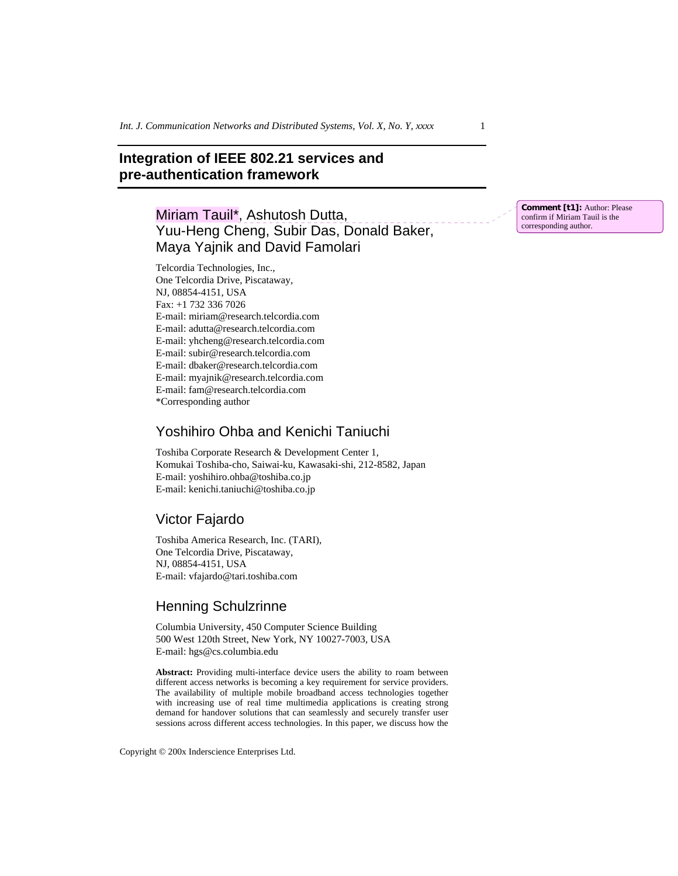# **Integration of IEEE 802.21 services and pre-authentication framework**

Miriam Tauil\*, Ashutosh Dutta, Yuu-Heng Cheng, Subir Das, Donald Baker, Maya Yajnik and David Famolari

Telcordia Technologies, Inc., One Telcordia Drive, Piscataway, NJ, 08854-4151, USA Fax: +1 732 336 7026 E-mail: miriam@research.telcordia.com E-mail: adutta@research.telcordia.com E-mail: yhcheng@research.telcordia.com E-mail: subir@research.telcordia.com E-mail: dbaker@research.telcordia.com E-mail: myajnik@research.telcordia.com E-mail: fam@research.telcordia.com \*Corresponding author

## Yoshihiro Ohba and Kenichi Taniuchi

Toshiba Corporate Research & Development Center 1, Komukai Toshiba-cho, Saiwai-ku, Kawasaki-shi, 212-8582, Japan E-mail: yoshihiro.ohba@toshiba.co.jp E-mail: kenichi.taniuchi@toshiba.co.jp

## Victor Fajardo

Toshiba America Research, Inc. (TARI), One Telcordia Drive, Piscataway, NJ, 08854-4151, USA E-mail: vfajardo@tari.toshiba.com

# Henning Schulzrinne

Columbia University, 450 Computer Science Building 500 West 120th Street, New York, NY 10027-7003, USA E-mail: hgs@cs.columbia.edu

**Abstract:** Providing multi-interface device users the ability to roam between different access networks is becoming a key requirement for service providers. The availability of multiple mobile broadband access technologies together with increasing use of real time multimedia applications is creating strong demand for handover solutions that can seamlessly and securely transfer user sessions across different access technologies. In this paper, we discuss how the

Copyright © 200x Inderscience Enterprises Ltd.

**Comment [t1]:** Author: Please confirm if Miriam Tauil is the corresponding author.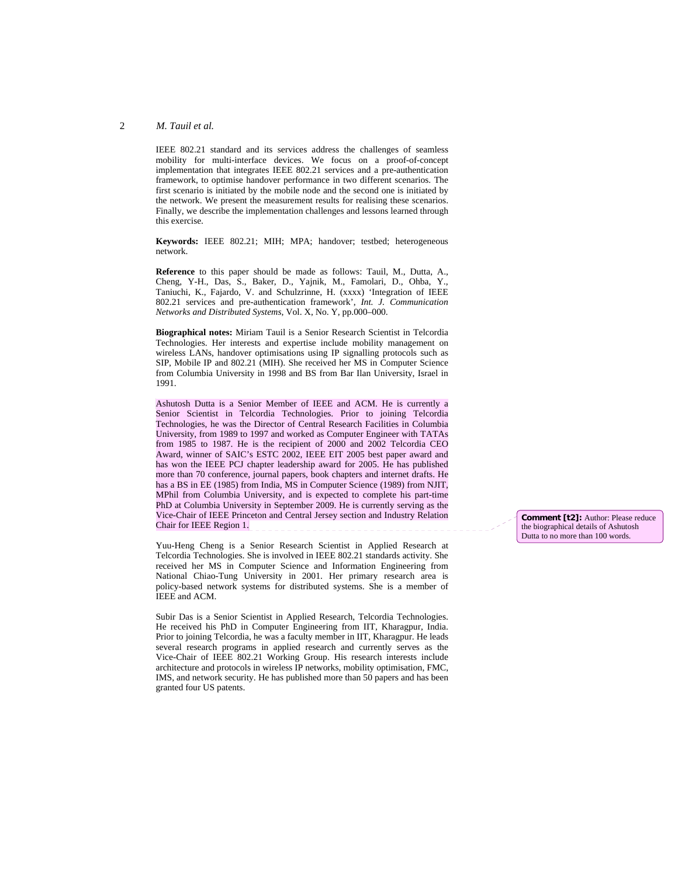IEEE 802.21 standard and its services address the challenges of seamless mobility for multi-interface devices. We focus on a proof-of-concept implementation that integrates IEEE 802.21 services and a pre-authentication framework, to optimise handover performance in two different scenarios. The first scenario is initiated by the mobile node and the second one is initiated by the network. We present the measurement results for realising these scenarios. Finally, we describe the implementation challenges and lessons learned through this exercise.

**Keywords:** IEEE 802.21; MIH; MPA; handover; testbed; heterogeneous network.

**Reference** to this paper should be made as follows: Tauil, M., Dutta, A., Cheng, Y-H., Das, S., Baker, D., Yajnik, M., Famolari, D., Ohba, Y., Taniuchi, K., Fajardo, V. and Schulzrinne, H. (xxxx) 'Integration of IEEE 802.21 services and pre-authentication framework', *Int. J. Communication Networks and Distributed Systems*, Vol. X, No. Y, pp.000–000.

**Biographical notes:** Miriam Tauil is a Senior Research Scientist in Telcordia Technologies. Her interests and expertise include mobility management on wireless LANs, handover optimisations using IP signalling protocols such as SIP, Mobile IP and 802.21 (MIH). She received her MS in Computer Science from Columbia University in 1998 and BS from Bar Ilan University, Israel in 1991.

Ashutosh Dutta is a Senior Member of IEEE and ACM. He is currently a Senior Scientist in Telcordia Technologies. Prior to joining Telcordia Technologies, he was the Director of Central Research Facilities in Columbia University, from 1989 to 1997 and worked as Computer Engineer with TATAs from 1985 to 1987. He is the recipient of 2000 and 2002 Telcordia CEO Award, winner of SAIC's ESTC 2002, IEEE EIT 2005 best paper award and has won the IEEE PCJ chapter leadership award for 2005. He has published more than 70 conference, journal papers, book chapters and internet drafts. He has a BS in EE (1985) from India, MS in Computer Science (1989) from NJIT, MPhil from Columbia University, and is expected to complete his part-time PhD at Columbia University in September 2009. He is currently serving as the Vice-Chair of IEEE Princeton and Central Jersey section and Industry Relation Chair for IEEE Region 1.

Yuu-Heng Cheng is a Senior Research Scientist in Applied Research at Telcordia Technologies. She is involved in IEEE 802.21 standards activity. She received her MS in Computer Science and Information Engineering from National Chiao-Tung University in 2001. Her primary research area is policy-based network systems for distributed systems. She is a member of IEEE and ACM.

Subir Das is a Senior Scientist in Applied Research, Telcordia Technologies. He received his PhD in Computer Engineering from IIT, Kharagpur, India. Prior to joining Telcordia, he was a faculty member in IIT, Kharagpur. He leads several research programs in applied research and currently serves as the Vice-Chair of IEEE 802.21 Working Group. His research interests include architecture and protocols in wireless IP networks, mobility optimisation, FMC, IMS, and network security. He has published more than 50 papers and has been granted four US patents.

**Comment [t2]:** Author: Please reduce the biographical details of Ashutosh Dutta to no more than 100 words.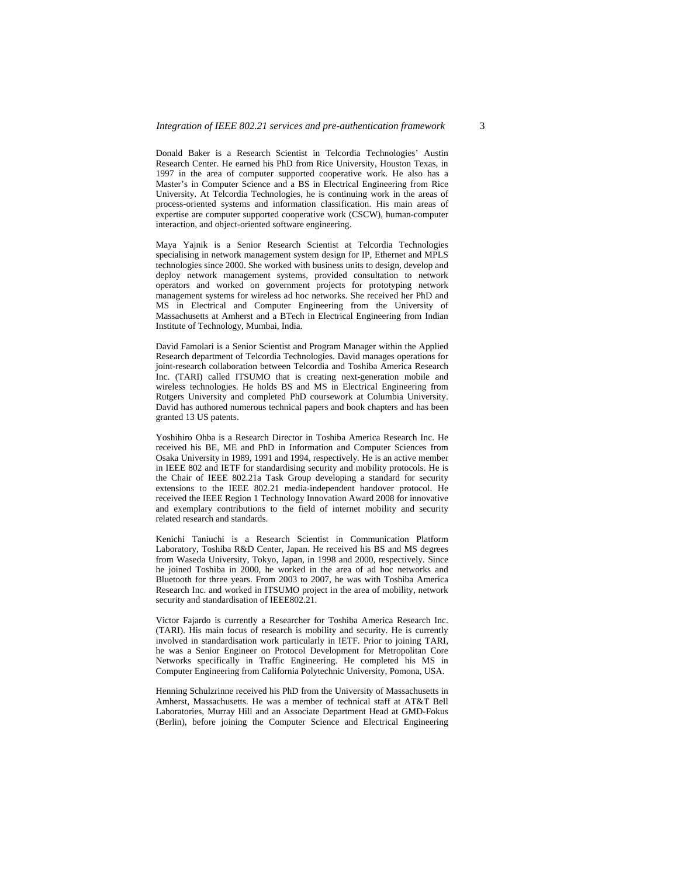Donald Baker is a Research Scientist in Telcordia Technologies' Austin Research Center. He earned his PhD from Rice University, Houston Texas, in 1997 in the area of computer supported cooperative work. He also has a Master's in Computer Science and a BS in Electrical Engineering from Rice University. At Telcordia Technologies, he is continuing work in the areas of process-oriented systems and information classification. His main areas of expertise are computer supported cooperative work (CSCW), human-computer interaction, and object-oriented software engineering.

Maya Yajnik is a Senior Research Scientist at Telcordia Technologies specialising in network management system design for IP, Ethernet and MPLS technologies since 2000. She worked with business units to design, develop and deploy network management systems, provided consultation to network operators and worked on government projects for prototyping network management systems for wireless ad hoc networks. She received her PhD and MS in Electrical and Computer Engineering from the University of Massachusetts at Amherst and a BTech in Electrical Engineering from Indian Institute of Technology, Mumbai, India.

David Famolari is a Senior Scientist and Program Manager within the Applied Research department of Telcordia Technologies. David manages operations for joint-research collaboration between Telcordia and Toshiba America Research Inc. (TARI) called ITSUMO that is creating next-generation mobile and wireless technologies. He holds BS and MS in Electrical Engineering from Rutgers University and completed PhD coursework at Columbia University. David has authored numerous technical papers and book chapters and has been granted 13 US patents.

Yoshihiro Ohba is a Research Director in Toshiba America Research Inc. He received his BE, ME and PhD in Information and Computer Sciences from Osaka University in 1989, 1991 and 1994, respectively. He is an active member in IEEE 802 and IETF for standardising security and mobility protocols. He is the Chair of IEEE 802.21a Task Group developing a standard for security extensions to the IEEE 802.21 media-independent handover protocol. He received the IEEE Region 1 Technology Innovation Award 2008 for innovative and exemplary contributions to the field of internet mobility and security related research and standards.

Kenichi Taniuchi is a Research Scientist in Communication Platform Laboratory, Toshiba R&D Center, Japan. He received his BS and MS degrees from Waseda University, Tokyo, Japan, in 1998 and 2000, respectively. Since he joined Toshiba in 2000, he worked in the area of ad hoc networks and Bluetooth for three years. From 2003 to 2007, he was with Toshiba America Research Inc. and worked in ITSUMO project in the area of mobility, network security and standardisation of IEEE802.21.

Victor Fajardo is currently a Researcher for Toshiba America Research Inc. (TARI). His main focus of research is mobility and security. He is currently involved in standardisation work particularly in IETF. Prior to joining TARI, he was a Senior Engineer on Protocol Development for Metropolitan Core Networks specifically in Traffic Engineering. He completed his MS in Computer Engineering from California Polytechnic University, Pomona, USA.

Henning Schulzrinne received his PhD from the University of Massachusetts in Amherst, Massachusetts. He was a member of technical staff at AT&T Bell Laboratories, Murray Hill and an Associate Department Head at GMD-Fokus (Berlin), before joining the Computer Science and Electrical Engineering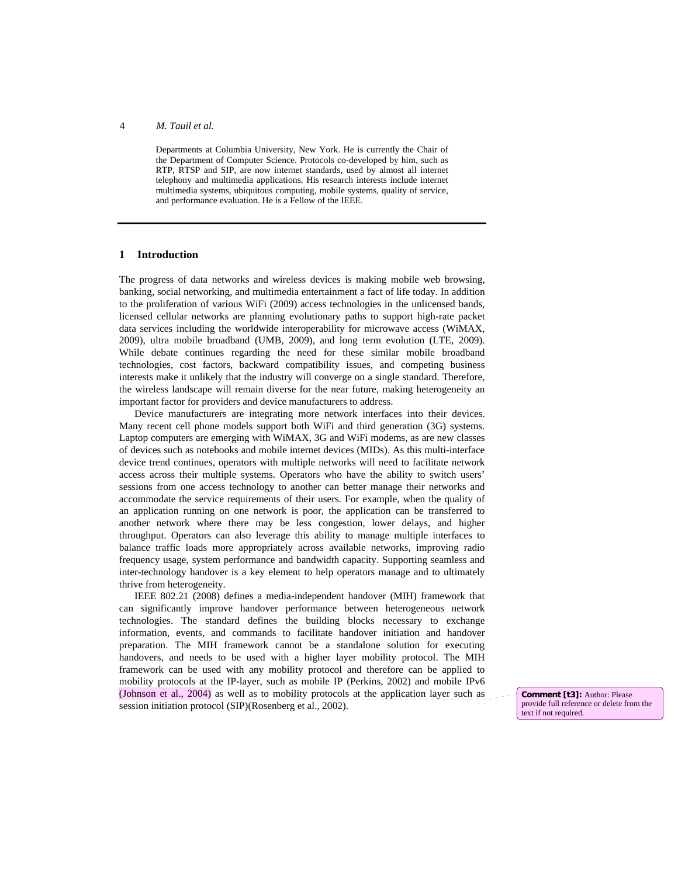Departments at Columbia University, New York. He is currently the Chair of the Department of Computer Science. Protocols co-developed by him, such as RTP, RTSP and SIP, are now internet standards, used by almost all internet telephony and multimedia applications. His research interests include internet multimedia systems, ubiquitous computing, mobile systems, quality of service, and performance evaluation. He is a Fellow of the IEEE.

## **1 Introduction**

The progress of data networks and wireless devices is making mobile web browsing, banking, social networking, and multimedia entertainment a fact of life today. In addition to the proliferation of various WiFi (2009) access technologies in the unlicensed bands, licensed cellular networks are planning evolutionary paths to support high-rate packet data services including the worldwide interoperability for microwave access (WiMAX, 2009), ultra mobile broadband (UMB, 2009), and long term evolution (LTE, 2009). While debate continues regarding the need for these similar mobile broadband technologies, cost factors, backward compatibility issues, and competing business interests make it unlikely that the industry will converge on a single standard. Therefore, the wireless landscape will remain diverse for the near future, making heterogeneity an important factor for providers and device manufacturers to address.

Device manufacturers are integrating more network interfaces into their devices. Many recent cell phone models support both WiFi and third generation (3G) systems. Laptop computers are emerging with WiMAX, 3G and WiFi modems, as are new classes of devices such as notebooks and mobile internet devices (MIDs). As this multi-interface device trend continues, operators with multiple networks will need to facilitate network access across their multiple systems. Operators who have the ability to switch users' sessions from one access technology to another can better manage their networks and accommodate the service requirements of their users. For example, when the quality of an application running on one network is poor, the application can be transferred to another network where there may be less congestion, lower delays, and higher throughput. Operators can also leverage this ability to manage multiple interfaces to balance traffic loads more appropriately across available networks, improving radio frequency usage, system performance and bandwidth capacity. Supporting seamless and inter-technology handover is a key element to help operators manage and to ultimately thrive from heterogeneity.

IEEE 802.21 (2008) defines a media-independent handover (MIH) framework that can significantly improve handover performance between heterogeneous network technologies. The standard defines the building blocks necessary to exchange information, events, and commands to facilitate handover initiation and handover preparation. The MIH framework cannot be a standalone solution for executing handovers, and needs to be used with a higher layer mobility protocol. The MIH framework can be used with any mobility protocol and therefore can be applied to mobility protocols at the IP-layer, such as mobile IP (Perkins, 2002) and mobile IPv6 (Johnson et al., 2004) as well as to mobility protocols at the application layer such as session initiation protocol (SIP)(Rosenberg et al., 2002).

**Comment [t3]:** Author: Please provide full reference or delete from the text if not required.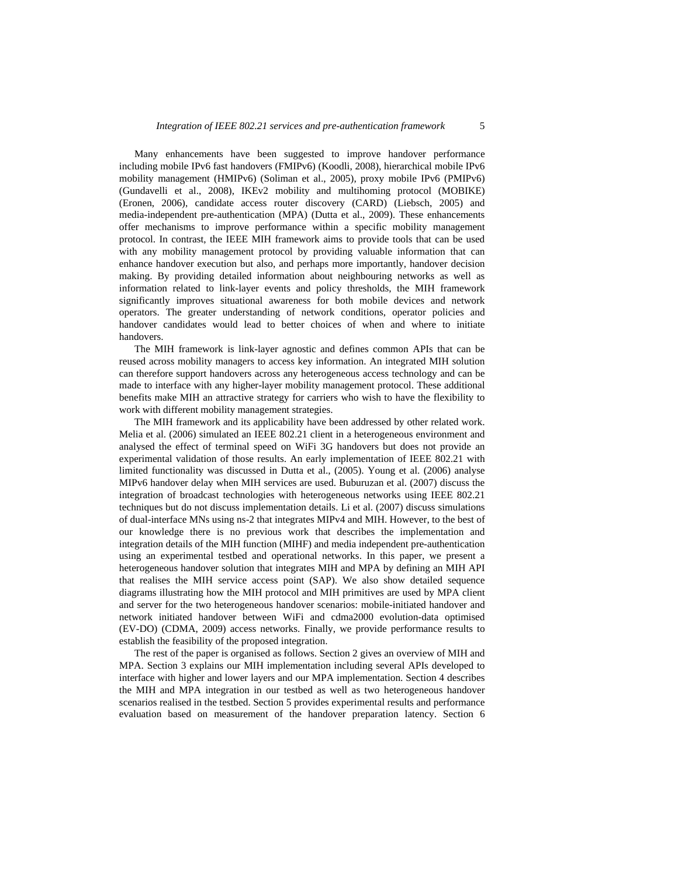Many enhancements have been suggested to improve handover performance including mobile IPv6 fast handovers (FMIPv6) (Koodli, 2008), hierarchical mobile IPv6 mobility management (HMIPv6) (Soliman et al., 2005), proxy mobile IPv6 (PMIPv6) (Gundavelli et al., 2008), IKEv2 mobility and multihoming protocol (MOBIKE) (Eronen, 2006), candidate access router discovery (CARD) (Liebsch, 2005) and media-independent pre-authentication (MPA) (Dutta et al., 2009). These enhancements offer mechanisms to improve performance within a specific mobility management protocol. In contrast, the IEEE MIH framework aims to provide tools that can be used with any mobility management protocol by providing valuable information that can enhance handover execution but also, and perhaps more importantly, handover decision making. By providing detailed information about neighbouring networks as well as information related to link-layer events and policy thresholds, the MIH framework significantly improves situational awareness for both mobile devices and network operators. The greater understanding of network conditions, operator policies and handover candidates would lead to better choices of when and where to initiate handovers.

The MIH framework is link-layer agnostic and defines common APIs that can be reused across mobility managers to access key information. An integrated MIH solution can therefore support handovers across any heterogeneous access technology and can be made to interface with any higher-layer mobility management protocol. These additional benefits make MIH an attractive strategy for carriers who wish to have the flexibility to work with different mobility management strategies.

The MIH framework and its applicability have been addressed by other related work. Melia et al. (2006) simulated an IEEE 802.21 client in a heterogeneous environment and analysed the effect of terminal speed on WiFi 3G handovers but does not provide an experimental validation of those results. An early implementation of IEEE 802.21 with limited functionality was discussed in Dutta et al., (2005). Young et al. (2006) analyse MIPv6 handover delay when MIH services are used. Buburuzan et al. (2007) discuss the integration of broadcast technologies with heterogeneous networks using IEEE 802.21 techniques but do not discuss implementation details. Li et al. (2007) discuss simulations of dual-interface MNs using ns-2 that integrates MIPv4 and MIH. However, to the best of our knowledge there is no previous work that describes the implementation and integration details of the MIH function (MIHF) and media independent pre-authentication using an experimental testbed and operational networks. In this paper, we present a heterogeneous handover solution that integrates MIH and MPA by defining an MIH API that realises the MIH service access point (SAP). We also show detailed sequence diagrams illustrating how the MIH protocol and MIH primitives are used by MPA client and server for the two heterogeneous handover scenarios: mobile-initiated handover and network initiated handover between WiFi and cdma2000 evolution-data optimised (EV-DO) (CDMA, 2009) access networks. Finally, we provide performance results to establish the feasibility of the proposed integration.

The rest of the paper is organised as follows. Section 2 gives an overview of MIH and MPA. Section 3 explains our MIH implementation including several APIs developed to interface with higher and lower layers and our MPA implementation. Section 4 describes the MIH and MPA integration in our testbed as well as two heterogeneous handover scenarios realised in the testbed. Section 5 provides experimental results and performance evaluation based on measurement of the handover preparation latency. Section 6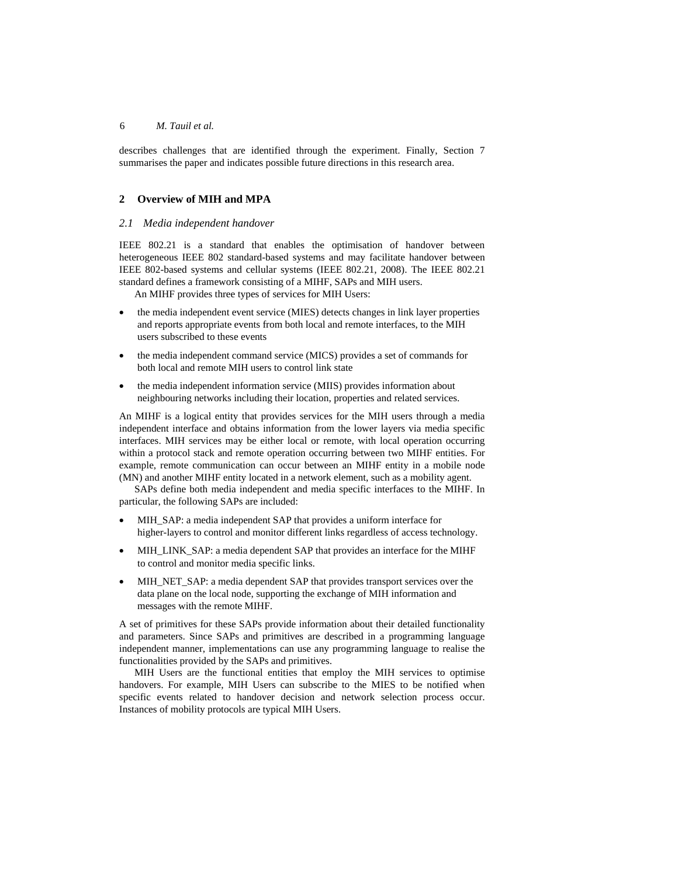describes challenges that are identified through the experiment. Finally, Section 7 summarises the paper and indicates possible future directions in this research area.

## **2 Overview of MIH and MPA**

#### *2.1 Media independent handover*

IEEE 802.21 is a standard that enables the optimisation of handover between heterogeneous IEEE 802 standard-based systems and may facilitate handover between IEEE 802-based systems and cellular systems (IEEE 802.21, 2008). The IEEE 802.21 standard defines a framework consisting of a MIHF, SAPs and MIH users.

An MIHF provides three types of services for MIH Users:

- the media independent event service (MIES) detects changes in link layer properties and reports appropriate events from both local and remote interfaces, to the MIH users subscribed to these events
- the media independent command service (MICS) provides a set of commands for both local and remote MIH users to control link state
- the media independent information service (MIIS) provides information about neighbouring networks including their location, properties and related services.

An MIHF is a logical entity that provides services for the MIH users through a media independent interface and obtains information from the lower layers via media specific interfaces. MIH services may be either local or remote, with local operation occurring within a protocol stack and remote operation occurring between two MIHF entities. For example, remote communication can occur between an MIHF entity in a mobile node (MN) and another MIHF entity located in a network element, such as a mobility agent.

SAPs define both media independent and media specific interfaces to the MIHF. In particular, the following SAPs are included:

- MIH\_SAP: a media independent SAP that provides a uniform interface for higher-layers to control and monitor different links regardless of access technology.
- MIH\_LINK\_SAP: a media dependent SAP that provides an interface for the MIHF to control and monitor media specific links.
- MIH\_NET\_SAP: a media dependent SAP that provides transport services over the data plane on the local node, supporting the exchange of MIH information and messages with the remote MIHF.

A set of primitives for these SAPs provide information about their detailed functionality and parameters. Since SAPs and primitives are described in a programming language independent manner, implementations can use any programming language to realise the functionalities provided by the SAPs and primitives.

MIH Users are the functional entities that employ the MIH services to optimise handovers. For example, MIH Users can subscribe to the MIES to be notified when specific events related to handover decision and network selection process occur. Instances of mobility protocols are typical MIH Users.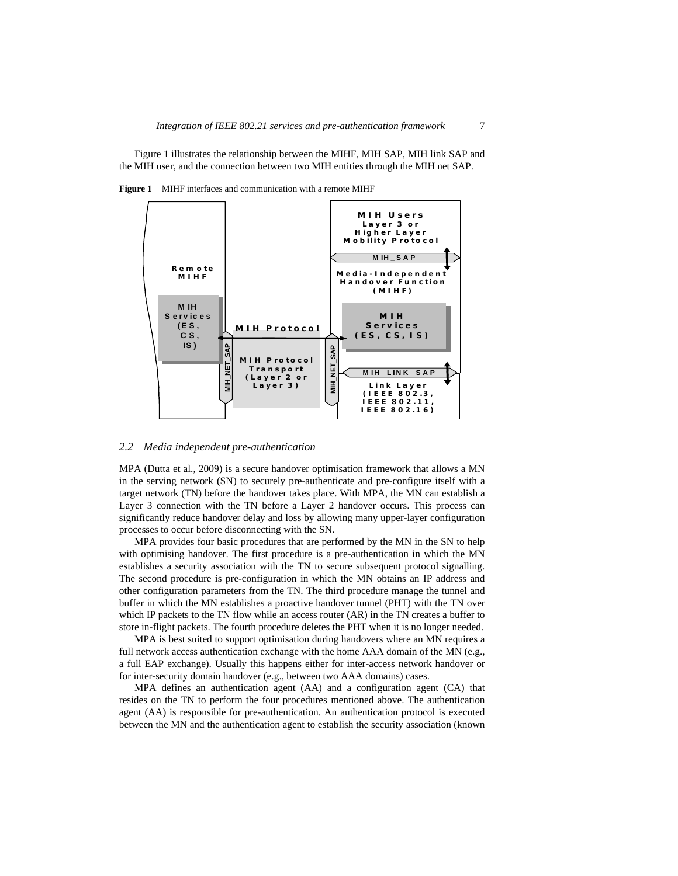Figure 1 illustrates the relationship between the MIHF, MIH SAP, MIH link SAP and the MIH user, and the connection between two MIH entities through the MIH net SAP.

**Figure 1** MIHF interfaces and communication with a remote MIHF



#### *2.2 Media independent pre-authentication*

MPA (Dutta et al., 2009) is a secure handover optimisation framework that allows a MN in the serving network (SN) to securely pre-authenticate and pre-configure itself with a target network (TN) before the handover takes place. With MPA, the MN can establish a Layer 3 connection with the TN before a Layer 2 handover occurs. This process can significantly reduce handover delay and loss by allowing many upper-layer configuration processes to occur before disconnecting with the SN.

MPA provides four basic procedures that are performed by the MN in the SN to help with optimising handover. The first procedure is a pre-authentication in which the MN establishes a security association with the TN to secure subsequent protocol signalling. The second procedure is pre-configuration in which the MN obtains an IP address and other configuration parameters from the TN. The third procedure manage the tunnel and buffer in which the MN establishes a proactive handover tunnel (PHT) with the TN over which IP packets to the TN flow while an access router (AR) in the TN creates a buffer to store in-flight packets. The fourth procedure deletes the PHT when it is no longer needed.

MPA is best suited to support optimisation during handovers where an MN requires a full network access authentication exchange with the home AAA domain of the MN (e.g., a full EAP exchange). Usually this happens either for inter-access network handover or for inter-security domain handover (e.g., between two AAA domains) cases.

MPA defines an authentication agent (AA) and a configuration agent (CA) that resides on the TN to perform the four procedures mentioned above. The authentication agent (AA) is responsible for pre-authentication. An authentication protocol is executed between the MN and the authentication agent to establish the security association (known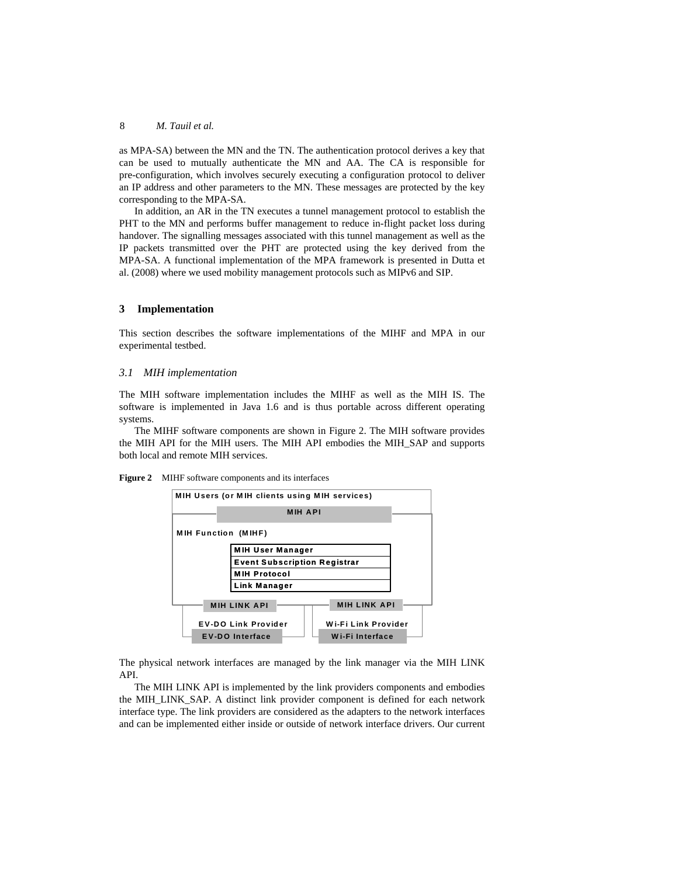as MPA-SA) between the MN and the TN. The authentication protocol derives a key that can be used to mutually authenticate the MN and AA. The CA is responsible for pre-configuration, which involves securely executing a configuration protocol to deliver an IP address and other parameters to the MN. These messages are protected by the key corresponding to the MPA-SA.

In addition, an AR in the TN executes a tunnel management protocol to establish the PHT to the MN and performs buffer management to reduce in-flight packet loss during handover. The signalling messages associated with this tunnel management as well as the IP packets transmitted over the PHT are protected using the key derived from the MPA-SA. A functional implementation of the MPA framework is presented in Dutta et al. (2008) where we used mobility management protocols such as MIPv6 and SIP.

## **3 Implementation**

This section describes the software implementations of the MIHF and MPA in our experimental testbed.

#### *3.1 MIH implementation*

The MIH software implementation includes the MIHF as well as the MIH IS. The software is implemented in Java 1.6 and is thus portable across different operating systems.

The MIHF software components are shown in Figure 2. The MIH software provides the MIH API for the MIH users. The MIH API embodies the MIH\_SAP and supports both local and remote MIH services.

**Figure 2** MIHF software components and its interfaces



The physical network interfaces are managed by the link manager via the MIH LINK API.

The MIH LINK API is implemented by the link providers components and embodies the MIH\_LINK\_SAP. A distinct link provider component is defined for each network interface type. The link providers are considered as the adapters to the network interfaces and can be implemented either inside or outside of network interface drivers. Our current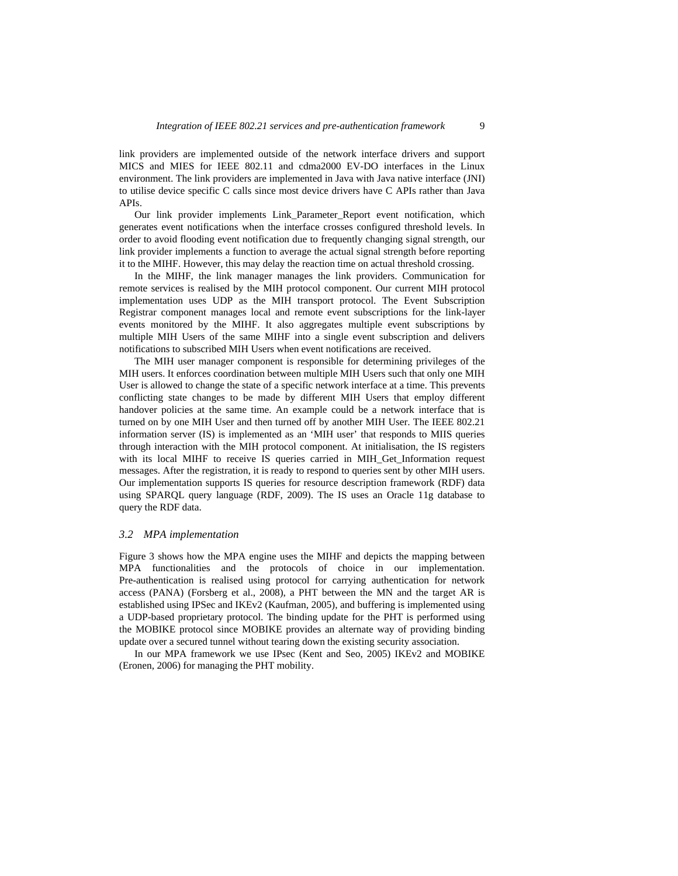link providers are implemented outside of the network interface drivers and support MICS and MIES for IEEE 802.11 and cdma2000 EV-DO interfaces in the Linux environment. The link providers are implemented in Java with Java native interface (JNI) to utilise device specific C calls since most device drivers have C APIs rather than Java APIs.

Our link provider implements Link\_Parameter\_Report event notification, which generates event notifications when the interface crosses configured threshold levels. In order to avoid flooding event notification due to frequently changing signal strength, our link provider implements a function to average the actual signal strength before reporting it to the MIHF. However, this may delay the reaction time on actual threshold crossing.

In the MIHF, the link manager manages the link providers. Communication for remote services is realised by the MIH protocol component. Our current MIH protocol implementation uses UDP as the MIH transport protocol. The Event Subscription Registrar component manages local and remote event subscriptions for the link-layer events monitored by the MIHF. It also aggregates multiple event subscriptions by multiple MIH Users of the same MIHF into a single event subscription and delivers notifications to subscribed MIH Users when event notifications are received.

The MIH user manager component is responsible for determining privileges of the MIH users. It enforces coordination between multiple MIH Users such that only one MIH User is allowed to change the state of a specific network interface at a time. This prevents conflicting state changes to be made by different MIH Users that employ different handover policies at the same time. An example could be a network interface that is turned on by one MIH User and then turned off by another MIH User. The IEEE 802.21 information server (IS) is implemented as an 'MIH user' that responds to MIIS queries through interaction with the MIH protocol component. At initialisation, the IS registers with its local MIHF to receive IS queries carried in MIH Get Information request messages. After the registration, it is ready to respond to queries sent by other MIH users. Our implementation supports IS queries for resource description framework (RDF) data using SPARQL query language (RDF, 2009). The IS uses an Oracle 11g database to query the RDF data.

#### *3.2 MPA implementation*

Figure 3 shows how the MPA engine uses the MIHF and depicts the mapping between MPA functionalities and the protocols of choice in our implementation. Pre-authentication is realised using protocol for carrying authentication for network access (PANA) (Forsberg et al., 2008), a PHT between the MN and the target AR is established using IPSec and IKEv2 (Kaufman, 2005), and buffering is implemented using a UDP-based proprietary protocol. The binding update for the PHT is performed using the MOBIKE protocol since MOBIKE provides an alternate way of providing binding update over a secured tunnel without tearing down the existing security association.

In our MPA framework we use IPsec (Kent and Seo, 2005) IKEv2 and MOBIKE (Eronen, 2006) for managing the PHT mobility.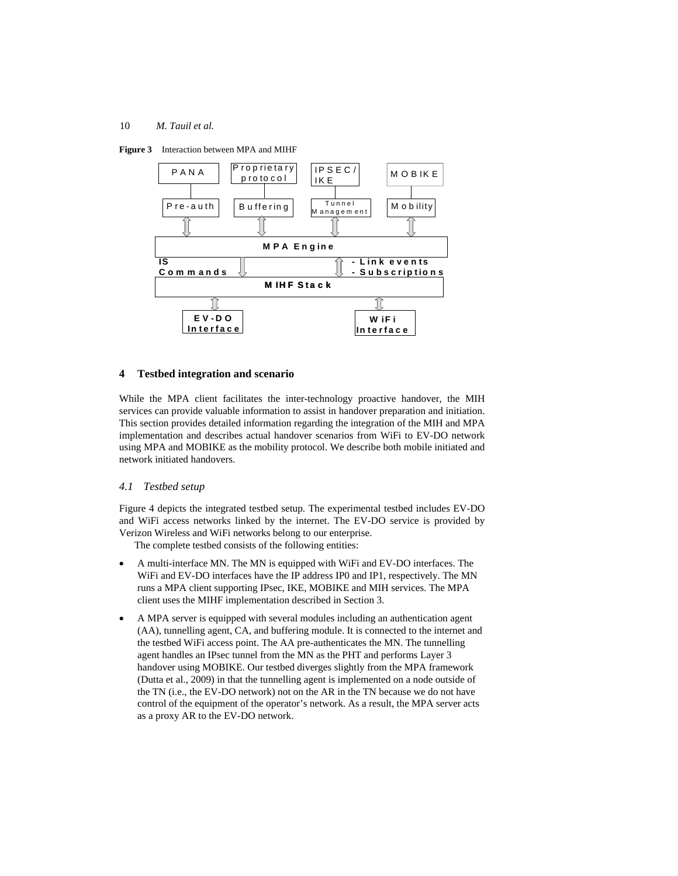



## **4 Testbed integration and scenario**

While the MPA client facilitates the inter-technology proactive handover, the MIH services can provide valuable information to assist in handover preparation and initiation. This section provides detailed information regarding the integration of the MIH and MPA implementation and describes actual handover scenarios from WiFi to EV-DO network using MPA and MOBIKE as the mobility protocol. We describe both mobile initiated and network initiated handovers.

## *4.1 Testbed setup*

Figure 4 depicts the integrated testbed setup. The experimental testbed includes EV-DO and WiFi access networks linked by the internet. The EV-DO service is provided by Verizon Wireless and WiFi networks belong to our enterprise.

The complete testbed consists of the following entities:

- A multi-interface MN. The MN is equipped with WiFi and EV-DO interfaces. The WiFi and EV-DO interfaces have the IP address IP0 and IP1, respectively. The MN runs a MPA client supporting IPsec, IKE, MOBIKE and MIH services. The MPA client uses the MIHF implementation described in Section 3.
- A MPA server is equipped with several modules including an authentication agent (AA), tunnelling agent, CA, and buffering module. It is connected to the internet and the testbed WiFi access point. The AA pre-authenticates the MN. The tunnelling agent handles an IPsec tunnel from the MN as the PHT and performs Layer 3 handover using MOBIKE. Our testbed diverges slightly from the MPA framework (Dutta et al., 2009) in that the tunnelling agent is implemented on a node outside of the TN (i.e., the EV-DO network) not on the AR in the TN because we do not have control of the equipment of the operator's network. As a result, the MPA server acts as a proxy AR to the EV-DO network.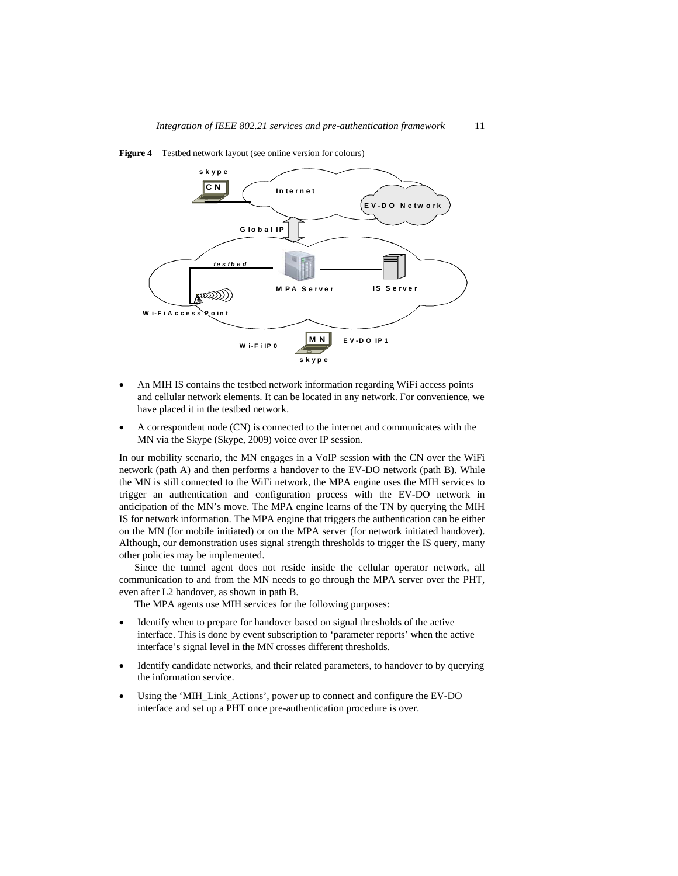

**Figure 4** Testbed network layout (see online version for colours)

- An MIH IS contains the testbed network information regarding WiFi access points and cellular network elements. It can be located in any network. For convenience, we have placed it in the testbed network.
- A correspondent node (CN) is connected to the internet and communicates with the MN via the Skype (Skype, 2009) voice over IP session.

In our mobility scenario, the MN engages in a VoIP session with the CN over the WiFi network (path A) and then performs a handover to the EV-DO network (path B). While the MN is still connected to the WiFi network, the MPA engine uses the MIH services to trigger an authentication and configuration process with the EV-DO network in anticipation of the MN's move. The MPA engine learns of the TN by querying the MIH IS for network information. The MPA engine that triggers the authentication can be either on the MN (for mobile initiated) or on the MPA server (for network initiated handover). Although, our demonstration uses signal strength thresholds to trigger the IS query, many other policies may be implemented.

Since the tunnel agent does not reside inside the cellular operator network, all communication to and from the MN needs to go through the MPA server over the PHT, even after L2 handover, as shown in path B.

The MPA agents use MIH services for the following purposes:

- Identify when to prepare for handover based on signal thresholds of the active interface. This is done by event subscription to 'parameter reports' when the active interface's signal level in the MN crosses different thresholds.
- Identify candidate networks, and their related parameters, to handover to by querying the information service.
- Using the 'MIH\_Link\_Actions', power up to connect and configure the EV-DO interface and set up a PHT once pre-authentication procedure is over.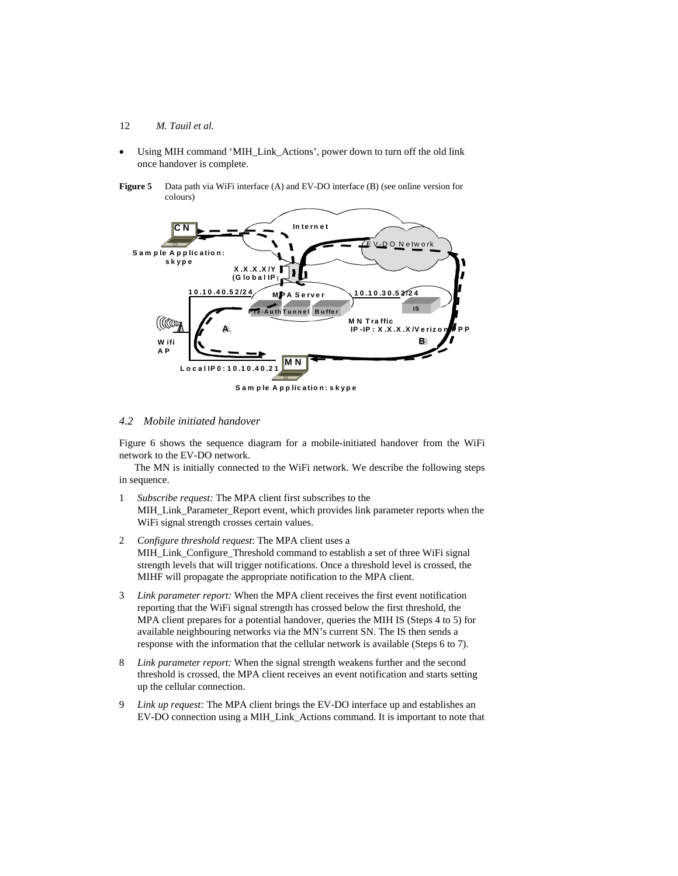- 12 *M. Tauil et al.*
- Using MIH command 'MIH\_Link\_Actions', power down to turn off the old link once handover is complete.
- **Figure 5** Data path via WiFi interface (A) and EV-DO interface (B) (see online version for colours)



## *4.2 Mobile initiated handover*

Figure 6 shows the sequence diagram for a mobile-initiated handover from the WiFi network to the EV-DO network.

The MN is initially connected to the WiFi network. We describe the following steps in sequence.

- 1 *Subscribe request:* The MPA client first subscribes to the MIH\_Link\_Parameter\_Report event, which provides link parameter reports when the WiFi signal strength crosses certain values.
- 2 *Configure threshold request*: The MPA client uses a MIH\_Link\_Configure\_Threshold command to establish a set of three WiFi signal strength levels that will trigger notifications. Once a threshold level is crossed, the MIHF will propagate the appropriate notification to the MPA client.
- 3 *Link parameter report:* When the MPA client receives the first event notification reporting that the WiFi signal strength has crossed below the first threshold, the MPA client prepares for a potential handover, queries the MIH IS (Steps 4 to 5) for available neighbouring networks via the MN's current SN. The IS then sends a response with the information that the cellular network is available (Steps 6 to 7).
- 8 *Link parameter report:* When the signal strength weakens further and the second threshold is crossed, the MPA client receives an event notification and starts setting up the cellular connection.
- 9 *Link up request:* The MPA client brings the EV-DO interface up and establishes an EV-DO connection using a MIH\_Link\_Actions command. It is important to note that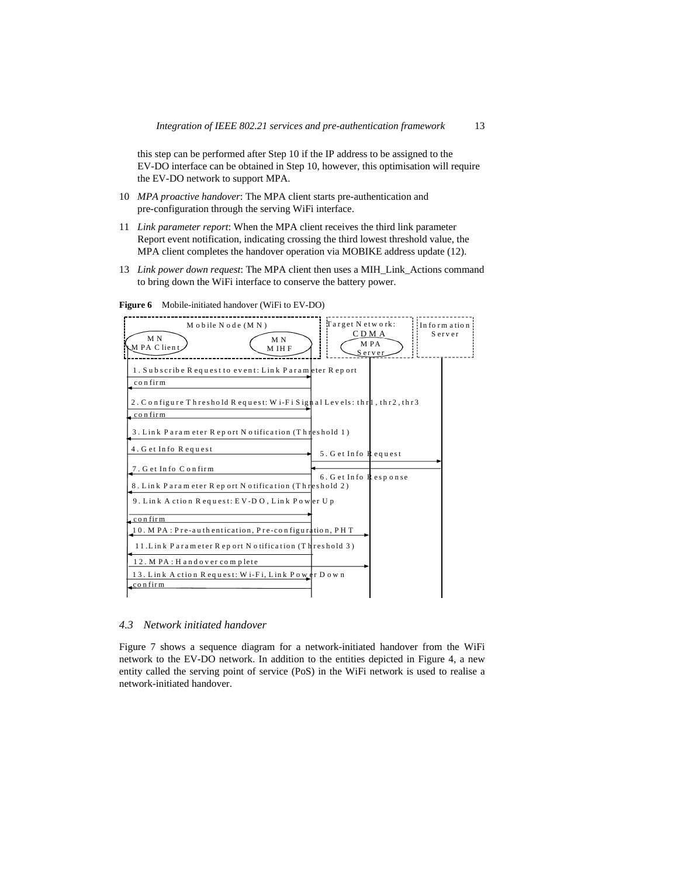this step can be performed after Step 10 if the IP address to be assigned to the EV-DO interface can be obtained in Step 10, however, this optimisation will require the EV-DO network to support MPA.

- 10 *MPA proactive handover*: The MPA client starts pre-authentication and pre-configuration through the serving WiFi interface.
- 11 *Link parameter report*: When the MPA client receives the third link parameter Report event notification, indicating crossing the third lowest threshold value, the MPA client completes the handover operation via MOBIKE address update (12).
- 13 *Link power down request*: The MPA client then uses a MIH\_Link\_Actions command to bring down the WiFi interface to conserve the battery power.



**Figure 6** Mobile-initiated handover (WiFi to EV-DO)

## *4.3 Network initiated handover*

Figure 7 shows a sequence diagram for a network-initiated handover from the WiFi network to the EV-DO network. In addition to the entities depicted in Figure 4, a new entity called the serving point of service (PoS) in the WiFi network is used to realise a network-initiated handover.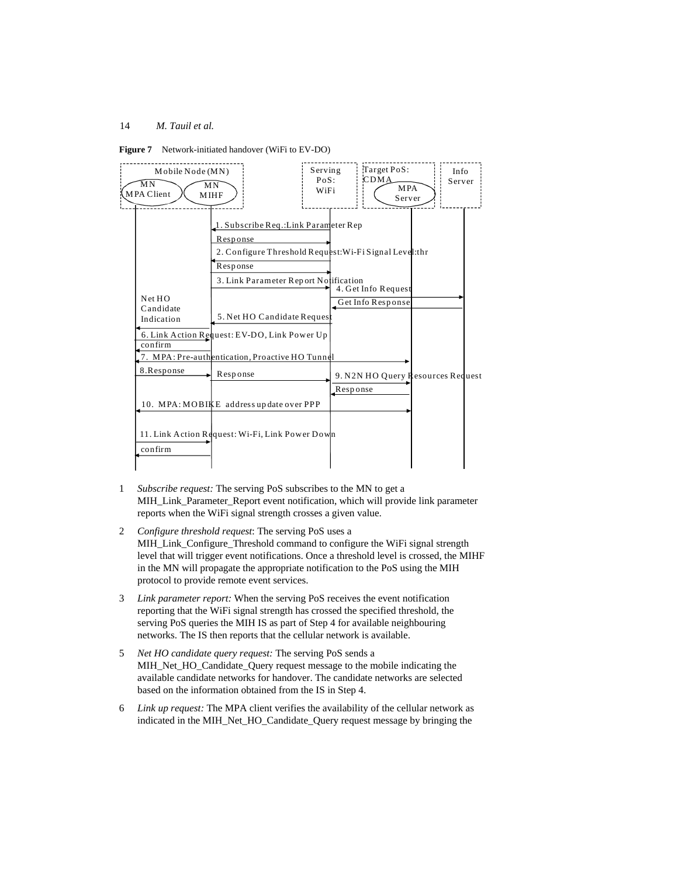



- 1 *Subscribe request:* The serving PoS subscribes to the MN to get a MIH\_Link\_Parameter\_Report event notification, which will provide link parameter reports when the WiFi signal strength crosses a given value.
- 2 *Configure threshold request*: The serving PoS uses a MIH\_Link\_Configure\_Threshold command to configure the WiFi signal strength level that will trigger event notifications. Once a threshold level is crossed, the MIHF in the MN will propagate the appropriate notification to the PoS using the MIH protocol to provide remote event services.
- 3 *Link parameter report:* When the serving PoS receives the event notification reporting that the WiFi signal strength has crossed the specified threshold, the serving PoS queries the MIH IS as part of Step 4 for available neighbouring networks. The IS then reports that the cellular network is available.
- 5 *Net HO candidate query request:* The serving PoS sends a MIH\_Net\_HO\_Candidate\_Query request message to the mobile indicating the available candidate networks for handover. The candidate networks are selected based on the information obtained from the IS in Step 4.
- 6 *Link up request:* The MPA client verifies the availability of the cellular network as indicated in the MIH\_Net\_HO\_Candidate\_Query request message by bringing the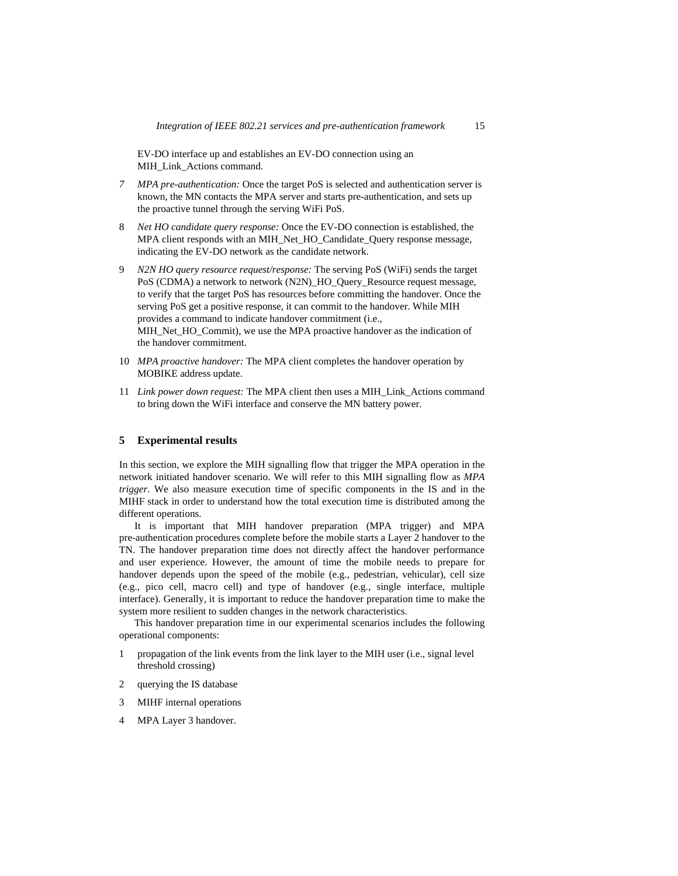EV-DO interface up and establishes an EV-DO connection using an MIH\_Link\_Actions command.

- *7 MPA pre-authentication:* Once the target PoS is selected and authentication server is known, the MN contacts the MPA server and starts pre-authentication, and sets up the proactive tunnel through the serving WiFi PoS.
- 8 *Net HO candidate query response:* Once the EV-DO connection is established, the MPA client responds with an MIH\_Net\_HO\_Candidate\_Query response message, indicating the EV-DO network as the candidate network.
- 9 *N2N HO query resource request/response:* The serving PoS (WiFi) sends the target PoS (CDMA) a network to network (N2N)\_HO\_Query\_Resource request message, to verify that the target PoS has resources before committing the handover. Once the serving PoS get a positive response, it can commit to the handover. While MIH provides a command to indicate handover commitment (i.e., MIH\_Net\_HO\_Commit), we use the MPA proactive handover as the indication of the handover commitment.
- 10 *MPA proactive handover:* The MPA client completes the handover operation by MOBIKE address update.
- 11 *Link power down request:* The MPA client then uses a MIH\_Link\_Actions command to bring down the WiFi interface and conserve the MN battery power.

## **5 Experimental results**

In this section, we explore the MIH signalling flow that trigger the MPA operation in the network initiated handover scenario. We will refer to this MIH signalling flow as *MPA trigger*. We also measure execution time of specific components in the IS and in the MIHF stack in order to understand how the total execution time is distributed among the different operations.

It is important that MIH handover preparation (MPA trigger) and MPA pre-authentication procedures complete before the mobile starts a Layer 2 handover to the TN. The handover preparation time does not directly affect the handover performance and user experience. However, the amount of time the mobile needs to prepare for handover depends upon the speed of the mobile (e.g., pedestrian, vehicular), cell size (e.g., pico cell, macro cell) and type of handover (e.g., single interface, multiple interface). Generally, it is important to reduce the handover preparation time to make the system more resilient to sudden changes in the network characteristics.

This handover preparation time in our experimental scenarios includes the following operational components:

- 1 propagation of the link events from the link layer to the MIH user (i.e., signal level threshold crossing)
- 2 querying the IS database
- 3 MIHF internal operations
- 4 MPA Layer 3 handover.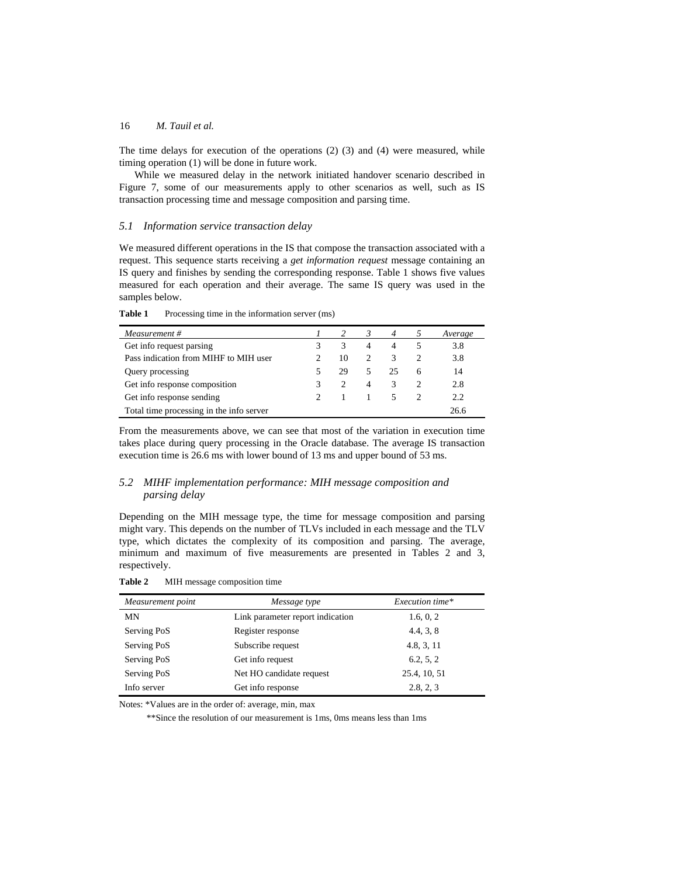The time delays for execution of the operations (2) (3) and (4) were measured, while timing operation (1) will be done in future work.

While we measured delay in the network initiated handover scenario described in Figure 7, some of our measurements apply to other scenarios as well, such as IS transaction processing time and message composition and parsing time.

## *5.1 Information service transaction delay*

We measured different operations in the IS that compose the transaction associated with a request. This sequence starts receiving a *get information request* message containing an IS query and finishes by sending the corresponding response. Table 1 shows five values measured for each operation and their average. The same IS query was used in the samples below.

Table 1 Processing time in the information server (ms)

| Measurement #                            |               | 3 | $\overline{4}$ | Average |
|------------------------------------------|---------------|---|----------------|---------|
| Get info request parsing                 | 3             | 4 | 4              | 3.8     |
| Pass indication from MIHF to MIH user    | 10            |   | 3              | 3.8     |
| Query processing                         | 29            |   | 25             | 14      |
| Get info response composition            | $\mathcal{P}$ | 4 | 3              | 2.8     |
| Get info response sending                |               |   |                | 2.2     |
| Total time processing in the info server |               |   |                | 26.6    |

From the measurements above, we can see that most of the variation in execution time takes place during query processing in the Oracle database. The average IS transaction execution time is 26.6 ms with lower bound of 13 ms and upper bound of 53 ms.

## *5.2 MIHF implementation performance: MIH message composition and parsing delay*

Depending on the MIH message type, the time for message composition and parsing might vary. This depends on the number of TLVs included in each message and the TLV type, which dictates the complexity of its composition and parsing. The average, minimum and maximum of five measurements are presented in Tables 2 and 3, respectively.

**Table 2** MIH message composition time

| Measurement point | Message type                     | Execution time* |  |  |
|-------------------|----------------------------------|-----------------|--|--|
| MN                | Link parameter report indication | 1.6, 0, 2       |  |  |
| Serving PoS       | Register response                | 4.4, 3, 8       |  |  |
| Serving PoS       | Subscribe request                | 4.8, 3, 11      |  |  |
| Serving PoS       | Get info request                 | 6.2, 5, 2       |  |  |
| Serving PoS       | Net HO candidate request         | 25.4, 10, 51    |  |  |
| Info server       | Get info response                | 2.8, 2, 3       |  |  |

Notes: \*Values are in the order of: average, min, max

\*\*Since the resolution of our measurement is 1ms, 0ms means less than 1ms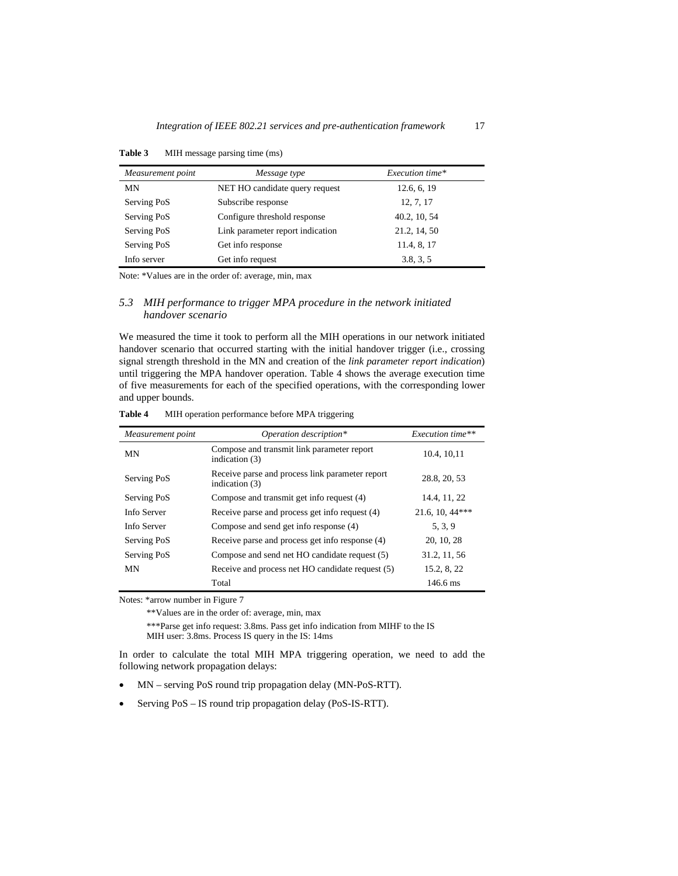| Measurement point | Message type                     | Execution time* |
|-------------------|----------------------------------|-----------------|
| MN                | NET HO candidate query request   | 12.6, 6, 19     |
| Serving PoS       | Subscribe response               | 12, 7, 17       |
| Serving PoS       | Configure threshold response     | 40.2, 10, 54    |
| Serving PoS       | Link parameter report indication | 21.2, 14, 50    |
| Serving PoS       | Get info response                | 11.4, 8, 17     |
| Info server       | Get info request                 | 3.8, 3, 5       |

**Table 3** MIH message parsing time (ms)

Note: \*Values are in the order of: average, min, max

## *5.3 MIH performance to trigger MPA procedure in the network initiated handover scenario*

We measured the time it took to perform all the MIH operations in our network initiated handover scenario that occurred starting with the initial handover trigger (i.e., crossing signal strength threshold in the MN and creation of the *link parameter report indication*) until triggering the MPA handover operation. Table 4 shows the average execution time of five measurements for each of the specified operations, with the corresponding lower and upper bounds.

| Measurement point | Operation description*                                            | Execution time**  |
|-------------------|-------------------------------------------------------------------|-------------------|
| <b>MN</b>         | Compose and transmit link parameter report<br>indication (3)      | 10.4, 10, 11      |
| Serving PoS       | Receive parse and process link parameter report<br>indication (3) | 28.8, 20, 53      |
| Serving PoS       | Compose and transmit get info request (4)                         | 14.4, 11, 22      |
| Info Server       | Receive parse and process get info request (4)                    | $21.6, 10, 44***$ |
| Info Server       | Compose and send get info response (4)                            | 5, 3, 9           |
| Serving PoS       | Receive parse and process get info response (4)                   | 20, 10, 28        |
| Serving PoS       | Compose and send net HO candidate request (5)                     | 31.2, 11, 56      |
| MN                | Receive and process net HO candidate request (5)                  | 15.2, 8, 22       |
|                   | Total                                                             | 146.6 ms          |

**Table 4** MIH operation performance before MPA triggering

Notes: \*arrow number in Figure 7

\*\*Values are in the order of: average, min, max

\*\*\*Parse get info request: 3.8ms. Pass get info indication from MIHF to the IS MIH user: 3.8ms. Process IS query in the IS: 14ms

In order to calculate the total MIH MPA triggering operation, we need to add the following network propagation delays:

- MN serving PoS round trip propagation delay (MN-PoS-RTT).
- Serving PoS IS round trip propagation delay (PoS-IS-RTT).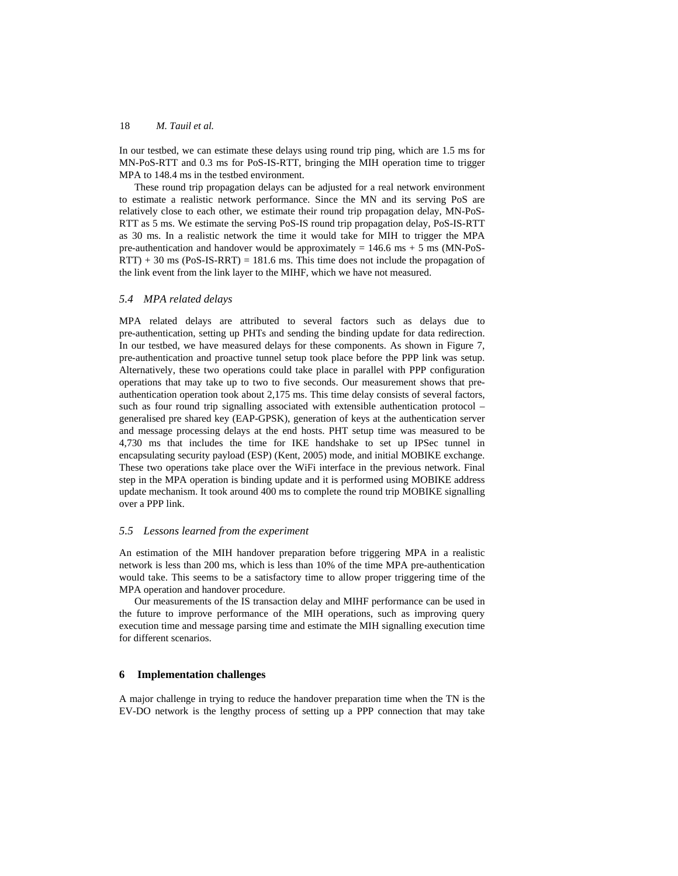In our testbed, we can estimate these delays using round trip ping, which are 1.5 ms for MN-PoS-RTT and 0.3 ms for PoS-IS-RTT, bringing the MIH operation time to trigger MPA to 148.4 ms in the testbed environment.

These round trip propagation delays can be adjusted for a real network environment to estimate a realistic network performance. Since the MN and its serving PoS are relatively close to each other, we estimate their round trip propagation delay, MN-PoS-RTT as 5 ms. We estimate the serving PoS-IS round trip propagation delay, PoS-IS-RTT as 30 ms. In a realistic network the time it would take for MIH to trigger the MPA pre-authentication and handover would be approximately  $= 146.6$  ms  $+ 5$  ms (MN-PoS- $RTT$ ) + 30 ms (PoS-IS-RRT) = 181.6 ms. This time does not include the propagation of the link event from the link layer to the MIHF, which we have not measured.

#### *5.4 MPA related delays*

MPA related delays are attributed to several factors such as delays due to pre-authentication, setting up PHTs and sending the binding update for data redirection. In our testbed, we have measured delays for these components. As shown in Figure 7, pre-authentication and proactive tunnel setup took place before the PPP link was setup. Alternatively, these two operations could take place in parallel with PPP configuration operations that may take up to two to five seconds. Our measurement shows that preauthentication operation took about 2,175 ms. This time delay consists of several factors, such as four round trip signalling associated with extensible authentication protocol – generalised pre shared key (EAP-GPSK), generation of keys at the authentication server and message processing delays at the end hosts. PHT setup time was measured to be 4,730 ms that includes the time for IKE handshake to set up IPSec tunnel in encapsulating security payload (ESP) (Kent, 2005) mode, and initial MOBIKE exchange. These two operations take place over the WiFi interface in the previous network. Final step in the MPA operation is binding update and it is performed using MOBIKE address update mechanism. It took around 400 ms to complete the round trip MOBIKE signalling over a PPP link.

## *5.5 Lessons learned from the experiment*

An estimation of the MIH handover preparation before triggering MPA in a realistic network is less than 200 ms, which is less than 10% of the time MPA pre-authentication would take. This seems to be a satisfactory time to allow proper triggering time of the MPA operation and handover procedure.

Our measurements of the IS transaction delay and MIHF performance can be used in the future to improve performance of the MIH operations, such as improving query execution time and message parsing time and estimate the MIH signalling execution time for different scenarios.

#### **6 Implementation challenges**

A major challenge in trying to reduce the handover preparation time when the TN is the EV-DO network is the lengthy process of setting up a PPP connection that may take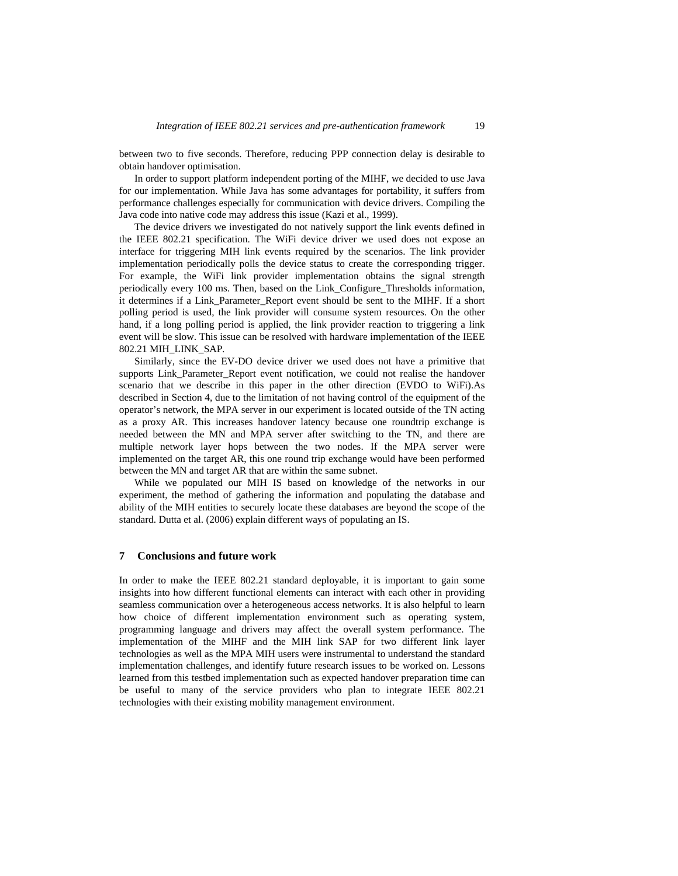between two to five seconds. Therefore, reducing PPP connection delay is desirable to obtain handover optimisation.

In order to support platform independent porting of the MIHF, we decided to use Java for our implementation. While Java has some advantages for portability, it suffers from performance challenges especially for communication with device drivers. Compiling the Java code into native code may address this issue (Kazi et al., 1999).

The device drivers we investigated do not natively support the link events defined in the IEEE 802.21 specification. The WiFi device driver we used does not expose an interface for triggering MIH link events required by the scenarios. The link provider implementation periodically polls the device status to create the corresponding trigger. For example, the WiFi link provider implementation obtains the signal strength periodically every 100 ms. Then, based on the Link\_Configure\_Thresholds information, it determines if a Link\_Parameter\_Report event should be sent to the MIHF. If a short polling period is used, the link provider will consume system resources. On the other hand, if a long polling period is applied, the link provider reaction to triggering a link event will be slow. This issue can be resolved with hardware implementation of the IEEE 802.21 MIH\_LINK\_SAP*.* 

Similarly, since the EV-DO device driver we used does not have a primitive that supports Link\_Parameter\_Report event notification, we could not realise the handover scenario that we describe in this paper in the other direction (EVDO to WiFi).As described in Section 4, due to the limitation of not having control of the equipment of the operator's network, the MPA server in our experiment is located outside of the TN acting as a proxy AR. This increases handover latency because one roundtrip exchange is needed between the MN and MPA server after switching to the TN, and there are multiple network layer hops between the two nodes. If the MPA server were implemented on the target AR, this one round trip exchange would have been performed between the MN and target AR that are within the same subnet.

While we populated our MIH IS based on knowledge of the networks in our experiment, the method of gathering the information and populating the database and ability of the MIH entities to securely locate these databases are beyond the scope of the standard. Dutta et al. (2006) explain different ways of populating an IS.

## **7 Conclusions and future work**

In order to make the IEEE 802.21 standard deployable, it is important to gain some insights into how different functional elements can interact with each other in providing seamless communication over a heterogeneous access networks. It is also helpful to learn how choice of different implementation environment such as operating system, programming language and drivers may affect the overall system performance. The implementation of the MIHF and the MIH link SAP for two different link layer technologies as well as the MPA MIH users were instrumental to understand the standard implementation challenges, and identify future research issues to be worked on. Lessons learned from this testbed implementation such as expected handover preparation time can be useful to many of the service providers who plan to integrate IEEE 802.21 technologies with their existing mobility management environment.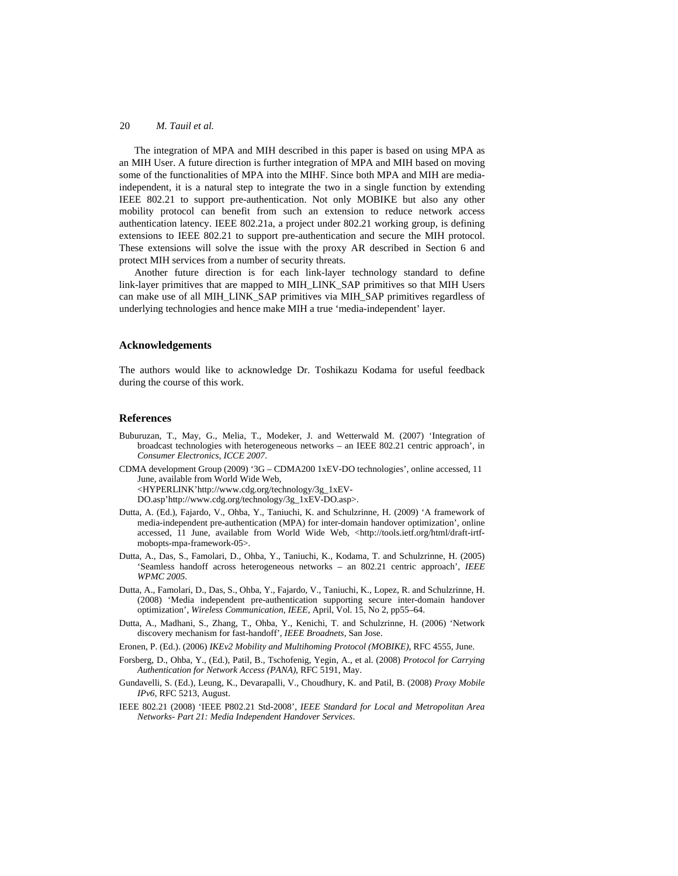The integration of MPA and MIH described in this paper is based on using MPA as an MIH User. A future direction is further integration of MPA and MIH based on moving some of the functionalities of MPA into the MIHF. Since both MPA and MIH are mediaindependent, it is a natural step to integrate the two in a single function by extending IEEE 802.21 to support pre-authentication. Not only MOBIKE but also any other mobility protocol can benefit from such an extension to reduce network access authentication latency. IEEE 802.21a, a project under 802.21 working group, is defining extensions to IEEE 802.21 to support pre-authentication and secure the MIH protocol. These extensions will solve the issue with the proxy AR described in Section 6 and protect MIH services from a number of security threats.

Another future direction is for each link-layer technology standard to define link-layer primitives that are mapped to MIH\_LINK\_SAP primitives so that MIH Users can make use of all MIH\_LINK\_SAP primitives via MIH\_SAP primitives regardless of underlying technologies and hence make MIH a true 'media-independent' layer.

#### **Acknowledgements**

The authors would like to acknowledge Dr. Toshikazu Kodama for useful feedback during the course of this work.

#### **References**

- Buburuzan, T., May, G., Melia, T., Modeker, J. and Wetterwald M. (2007) 'Integration of broadcast technologies with heterogeneous networks – an IEEE 802.21 centric approach', in *Consumer Electronics, ICCE 2007*.
- CDMA development Group (2009) '3G CDMA200 1xEV-DO technologies', online accessed, 11 June, available from World Wide Web, <HYPERLINK'http://www.cdg.org/technology/3g\_1xEV-DO.asp'http://www.cdg.org/technology/3g\_1xEV-DO.asp>.
	-
- Dutta, A. (Ed.), Fajardo, V., Ohba, Y., Taniuchi, K. and Schulzrinne, H. (2009) 'A framework of media-independent pre-authentication (MPA) for inter-domain handover optimization', online accessed, 11 June, available from World Wide Web, <http://tools.ietf.org/html/draft-irtfmobopts-mpa-framework-05>.
- Dutta, A., Das, S., Famolari, D., Ohba, Y., Taniuchi, K., Kodama, T. and Schulzrinne, H. (2005) 'Seamless handoff across heterogeneous networks – an 802.21 centric approach', *IEEE WPMC 2005*.
- Dutta, A., Famolari, D., Das, S., Ohba, Y., Fajardo, V., Taniuchi, K., Lopez, R. and Schulzrinne, H. (2008) 'Media independent pre-authentication supporting secure inter-domain handover optimization', *Wireless Communication, IEEE*, April, Vol. 15, No 2, pp55–64.
- Dutta, A., Madhani, S., Zhang, T., Ohba, Y., Kenichi, T. and Schulzrinne, H. (2006) 'Network discovery mechanism for fast-handoff', *IEEE Broadnets*, San Jose.
- Eronen, P. (Ed.). (2006) *IKEv2 Mobility and Multihoming Protocol (MOBIKE)*, RFC 4555, June.
- Forsberg, D., Ohba, Y., (Ed.), Patil, B., Tschofenig, Yegin, A., et al. (2008) *Protocol for Carrying Authentication for Network Access (PANA)*, RFC 5191, May.
- Gundavelli, S. (Ed.), Leung, K., Devarapalli, V., Choudhury, K. and Patil, B. (2008) *Proxy Mobile IPv6*, RFC 5213, August.
- IEEE 802.21 (2008) 'IEEE P802.21 Std-2008', *IEEE Standard for Local and Metropolitan Area Networks- Part 21: Media Independent Handover Services*.